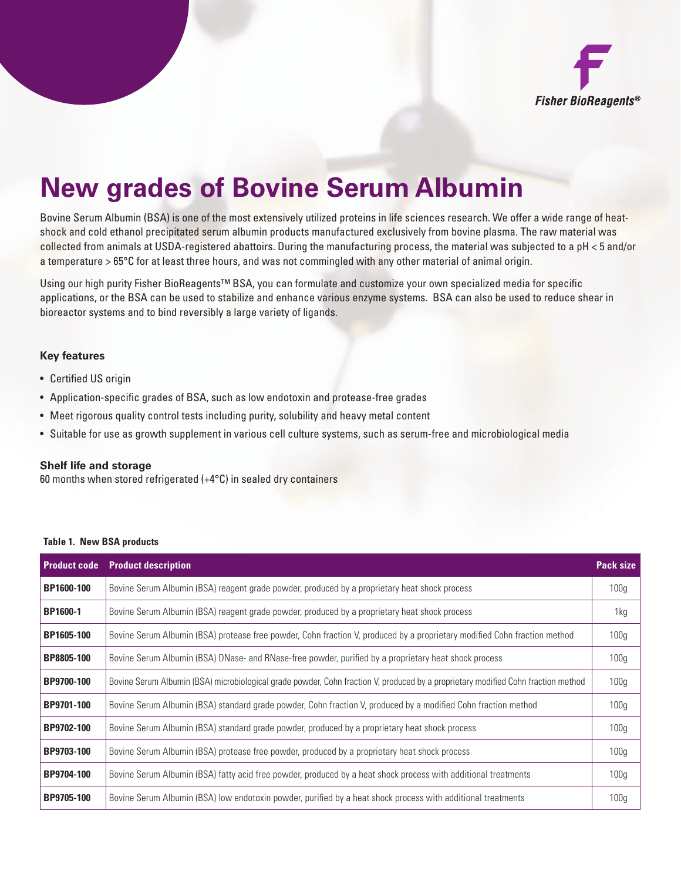

# **New grades of Bovine Serum Albumin**

Bovine Serum Albumin (BSA) is one of the most extensively utilized proteins in life sciences research. We offer a wide range of heatshock and cold ethanol precipitated serum albumin products manufactured exclusively from bovine plasma. The raw material was collected from animals at USDA-registered abattoirs. During the manufacturing process, the material was subjected to a pH < 5 and/or a temperature > 65°C for at least three hours, and was not commingled with any other material of animal origin.

Using our high purity Fisher BioReagents™ BSA, you can formulate and customize your own specialized media for specific applications, or the BSA can be used to stabilize and enhance various enzyme systems. BSA can also be used to reduce shear in bioreactor systems and to bind reversibly a large variety of ligands.

## **Key features**

- Certified US origin
- • Application-specific grades of BSA, such as low endotoxin and protease-free grades
- Meet rigorous quality control tests including purity, solubility and heavy metal content
- • Suitable for use as growth supplement in various cell culture systems, such as serum-free and microbiological media

#### **Shelf life and storage**

60 months when stored refrigerated  $(+4^{\circ}C)$  in sealed dry containers

#### **Table 1. New BSA products**

| <b>Product code</b> | <b>Product description</b>                                                                                                        | <b>Pack size</b> |
|---------------------|-----------------------------------------------------------------------------------------------------------------------------------|------------------|
| BP1600-100          | Bovine Serum Albumin (BSA) reagent grade powder, produced by a proprietary heat shock process                                     | 100 <sub>g</sub> |
| BP1600-1            | Bovine Serum Albumin (BSA) reagent grade powder, produced by a proprietary heat shock process                                     | 1kg              |
| BP1605-100          | Bovine Serum Albumin (BSA) protease free powder, Cohn fraction V, produced by a proprietary modified Cohn fraction method         | 100 <sub>g</sub> |
| BP8805-100          | Bovine Serum Albumin (BSA) DNase- and RNase-free powder, purified by a proprietary heat shock process                             | 100 <sub>g</sub> |
| BP9700-100          | Bovine Serum Albumin (BSA) microbiological grade powder, Cohn fraction V, produced by a proprietary modified Cohn fraction method | 100 <sub>g</sub> |
| BP9701-100          | Bovine Serum Albumin (BSA) standard grade powder, Cohn fraction V, produced by a modified Cohn fraction method                    | 100 <sub>g</sub> |
| BP9702-100          | Bovine Serum Albumin (BSA) standard grade powder, produced by a proprietary heat shock process                                    | 100 <sub>g</sub> |
| BP9703-100          | Bovine Serum Albumin (BSA) protease free powder, produced by a proprietary heat shock process                                     | 100 <sub>g</sub> |
| BP9704-100          | Bovine Serum Albumin (BSA) fatty acid free powder, produced by a heat shock process with additional treatments                    | 100 <sub>g</sub> |
| BP9705-100          | Bovine Serum Albumin (BSA) low endotoxin powder, purified by a heat shock process with additional treatments                      | 100 <sub>g</sub> |